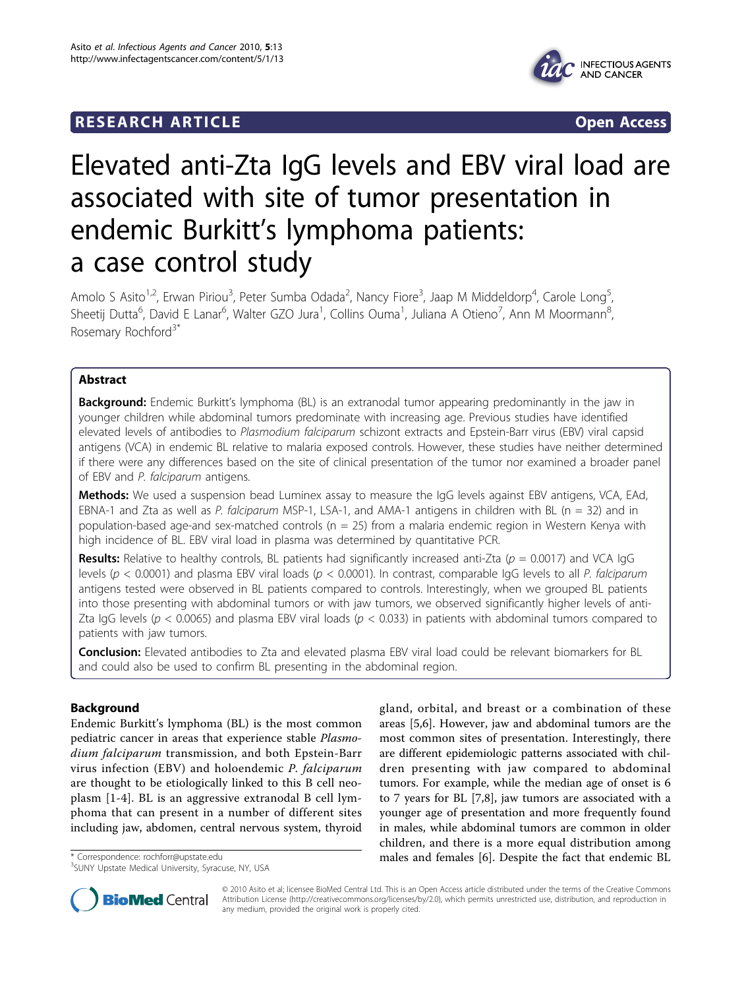## **RESEARCH ARTICLE Example 2018 CONSIDERING ACCESS**



# Elevated anti-Zta IgG levels and EBV viral load are associated with site of tumor presentation in endemic Burkitt's lymphoma patients: a case control study

Amolo S Asito<sup>1,2</sup>, Erwan Piriou<sup>3</sup>, Peter Sumba Odada<sup>2</sup>, Nancy Fiore<sup>3</sup>, Jaap M Middeldorp<sup>4</sup>, Carole Long<sup>5</sup> , Sheetij Dutta<sup>6</sup>, David E Lanar<sup>6</sup>, Walter GZO Jura<sup>1</sup>, Collins Ouma<sup>1</sup>, Juliana A Otieno<sup>7</sup>, Ann M Moormann<sup>8</sup> , Rosemary Rochford<sup>3\*</sup>

## Abstract

**Background:** Endemic Burkitt's lymphoma (BL) is an extranodal tumor appearing predominantly in the jaw in younger children while abdominal tumors predominate with increasing age. Previous studies have identified elevated levels of antibodies to Plasmodium falciparum schizont extracts and Epstein-Barr virus (EBV) viral capsid antigens (VCA) in endemic BL relative to malaria exposed controls. However, these studies have neither determined if there were any differences based on the site of clinical presentation of the tumor nor examined a broader panel of EBV and P. falciparum antigens.

Methods: We used a suspension bead Luminex assay to measure the IgG levels against EBV antigens, VCA, EAd, EBNA-1 and Zta as well as P. falciparum MSP-1, LSA-1, and AMA-1 antigens in children with BL (n = 32) and in population-based age-and sex-matched controls (n = 25) from a malaria endemic region in Western Kenya with high incidence of BL. EBV viral load in plasma was determined by quantitative PCR.

**Results:** Relative to healthy controls, BL patients had significantly increased anti-Zta ( $p = 0.0017$ ) and VCA IgG levels ( $p < 0.0001$ ) and plasma EBV viral loads ( $p < 0.0001$ ). In contrast, comparable IgG levels to all P. falciparum antigens tested were observed in BL patients compared to controls. Interestingly, when we grouped BL patients into those presenting with abdominal tumors or with jaw tumors, we observed significantly higher levels of anti-Zta IgG levels ( $p < 0.0065$ ) and plasma EBV viral loads ( $p < 0.033$ ) in patients with abdominal tumors compared to patients with jaw tumors.

Conclusion: Elevated antibodies to Zta and elevated plasma EBV viral load could be relevant biomarkers for BL and could also be used to confirm BL presenting in the abdominal region.

## Background

Endemic Burkitt's lymphoma (BL) is the most common pediatric cancer in areas that experience stable Plasmodium falciparum transmission, and both Epstein-Barr virus infection (EBV) and holoendemic P. falciparum are thought to be etiologically linked to this B cell neoplasm [\[1](#page-8-0)-[4](#page-8-0)]. BL is an aggressive extranodal B cell lymphoma that can present in a number of different sites including jaw, abdomen, central nervous system, thyroid

<sup>3</sup>SUNY Upstate Medical University, Syracuse, NY, USA

gland, orbital, and breast or a combination of these areas [\[5,6](#page-8-0)]. However, jaw and abdominal tumors are the most common sites of presentation. Interestingly, there are different epidemiologic patterns associated with children presenting with jaw compared to abdominal tumors. For example, while the median age of onset is 6 to 7 years for BL [[7,8\]](#page-8-0), jaw tumors are associated with a younger age of presentation and more frequently found in males, while abdominal tumors are common in older children, and there is a more equal distribution among \* Correspondence: [rochforr@upstate.edu](mailto:rochforr@upstate.edu) males and females [\[6](#page-8-0)]. Despite the fact that endemic BL <sup>3</sup>



© 2010 Asito et al; licensee BioMed Central Ltd. This is an Open Access article distributed under the terms of the Creative Commons Attribution License [\(http://creativecommons.org/licenses/by/2.0](http://creativecommons.org/licenses/by/2.0)), which permits unrestricted use, distribution, and reproduction in any medium, provided the original work is properly cited.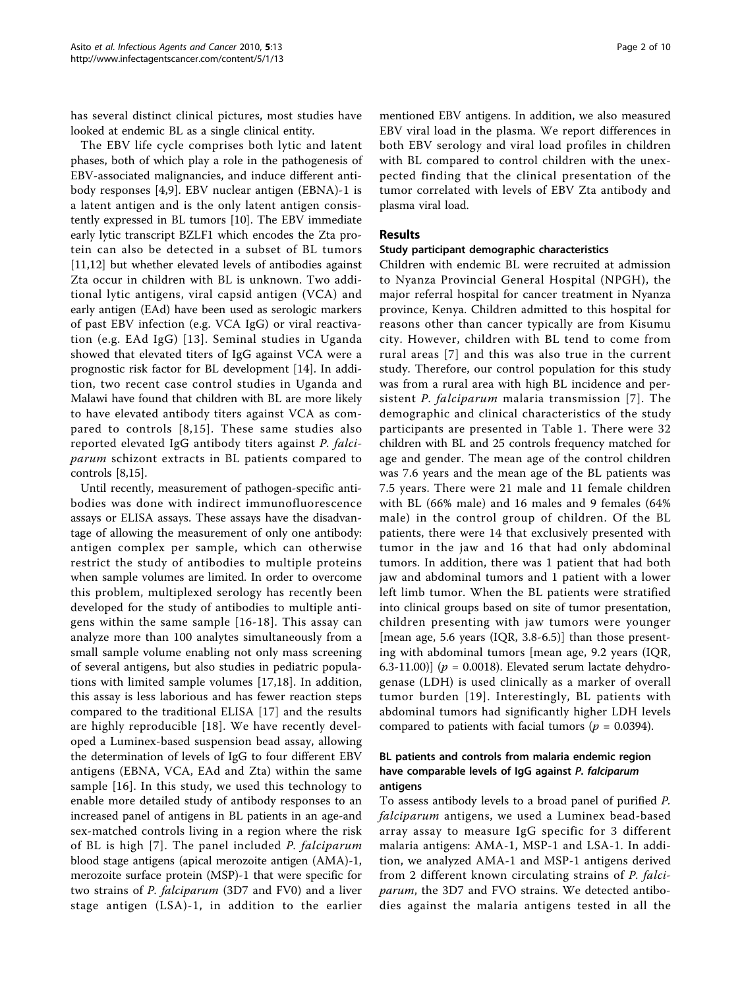has several distinct clinical pictures, most studies have looked at endemic BL as a single clinical entity.

The EBV life cycle comprises both lytic and latent phases, both of which play a role in the pathogenesis of EBV-associated malignancies, and induce different antibody responses [[4,9\]](#page-8-0). EBV nuclear antigen (EBNA)-1 is a latent antigen and is the only latent antigen consistently expressed in BL tumors [[10\]](#page-8-0). The EBV immediate early lytic transcript BZLF1 which encodes the Zta protein can also be detected in a subset of BL tumors [[11,12\]](#page-8-0) but whether elevated levels of antibodies against Zta occur in children with BL is unknown. Two additional lytic antigens, viral capsid antigen (VCA) and early antigen (EAd) have been used as serologic markers of past EBV infection (e.g. VCA IgG) or viral reactivation (e.g. EAd IgG) [[13](#page-8-0)]. Seminal studies in Uganda showed that elevated titers of IgG against VCA were a prognostic risk factor for BL development [[14\]](#page-8-0). In addition, two recent case control studies in Uganda and Malawi have found that children with BL are more likely to have elevated antibody titers against VCA as compared to controls [[8](#page-8-0),[15\]](#page-8-0). These same studies also reported elevated IgG antibody titers against P. falciparum schizont extracts in BL patients compared to controls [\[8,15\]](#page-8-0).

Until recently, measurement of pathogen-specific antibodies was done with indirect immunofluorescence assays or ELISA assays. These assays have the disadvantage of allowing the measurement of only one antibody: antigen complex per sample, which can otherwise restrict the study of antibodies to multiple proteins when sample volumes are limited. In order to overcome this problem, multiplexed serology has recently been developed for the study of antibodies to multiple antigens within the same sample [[16-18\]](#page-8-0). This assay can analyze more than 100 analytes simultaneously from a small sample volume enabling not only mass screening of several antigens, but also studies in pediatric populations with limited sample volumes [[17,18](#page-8-0)]. In addition, this assay is less laborious and has fewer reaction steps compared to the traditional ELISA [[17\]](#page-8-0) and the results are highly reproducible [[18\]](#page-8-0). We have recently developed a Luminex-based suspension bead assay, allowing the determination of levels of IgG to four different EBV antigens (EBNA, VCA, EAd and Zta) within the same sample [\[16\]](#page-8-0). In this study, we used this technology to enable more detailed study of antibody responses to an increased panel of antigens in BL patients in an age-and sex-matched controls living in a region where the risk of BL is high [[7](#page-8-0)]. The panel included P. falciparum blood stage antigens (apical merozoite antigen (AMA)-1, merozoite surface protein (MSP)-1 that were specific for two strains of P. falciparum (3D7 and FV0) and a liver stage antigen (LSA)-1, in addition to the earlier mentioned EBV antigens. In addition, we also measured EBV viral load in the plasma. We report differences in both EBV serology and viral load profiles in children with BL compared to control children with the unexpected finding that the clinical presentation of the tumor correlated with levels of EBV Zta antibody and plasma viral load.

## Results

## Study participant demographic characteristics

Children with endemic BL were recruited at admission to Nyanza Provincial General Hospital (NPGH), the major referral hospital for cancer treatment in Nyanza province, Kenya. Children admitted to this hospital for reasons other than cancer typically are from Kisumu city. However, children with BL tend to come from rural areas [[7](#page-8-0)] and this was also true in the current study. Therefore, our control population for this study was from a rural area with high BL incidence and per-sistent P. falciparum malaria transmission [[7](#page-8-0)]. The demographic and clinical characteristics of the study participants are presented in Table [1.](#page-2-0) There were 32 children with BL and 25 controls frequency matched for age and gender. The mean age of the control children was 7.6 years and the mean age of the BL patients was 7.5 years. There were 21 male and 11 female children with BL (66% male) and 16 males and 9 females (64% male) in the control group of children. Of the BL patients, there were 14 that exclusively presented with tumor in the jaw and 16 that had only abdominal tumors. In addition, there was 1 patient that had both jaw and abdominal tumors and 1 patient with a lower left limb tumor. When the BL patients were stratified into clinical groups based on site of tumor presentation, children presenting with jaw tumors were younger [mean age, 5.6 years (IQR, 3.8-6.5)] than those presenting with abdominal tumors [mean age, 9.2 years (IQR, 6.3-11.00)] ( $p = 0.0018$ ). Elevated serum lactate dehydrogenase (LDH) is used clinically as a marker of overall tumor burden [[19\]](#page-8-0). Interestingly, BL patients with abdominal tumors had significantly higher LDH levels compared to patients with facial tumors ( $p = 0.0394$ ).

## BL patients and controls from malaria endemic region have comparable levels of IgG against P. falciparum antigens

To assess antibody levels to a broad panel of purified P. falciparum antigens, we used a Luminex bead-based array assay to measure IgG specific for 3 different malaria antigens: AMA-1, MSP-1 and LSA-1. In addition, we analyzed AMA-1 and MSP-1 antigens derived from 2 different known circulating strains of P. falciparum, the 3D7 and FVO strains. We detected antibodies against the malaria antigens tested in all the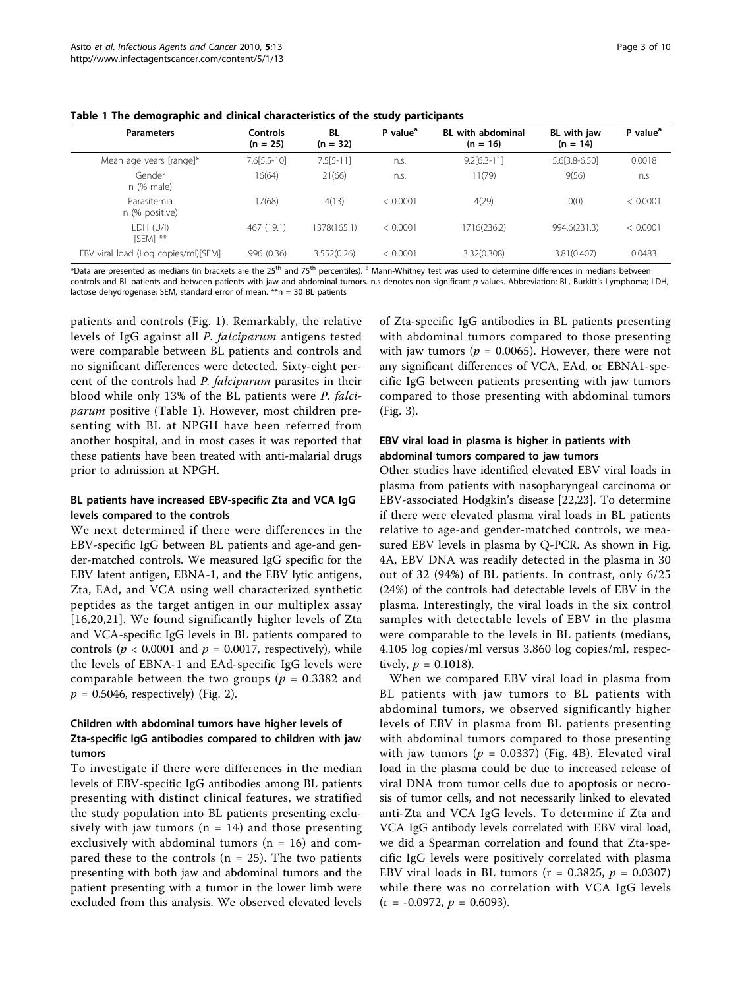<span id="page-2-0"></span>

|  |  | Table 1 The demographic and clinical characteristics of the study participants |  |  |  |  |  |  |
|--|--|--------------------------------------------------------------------------------|--|--|--|--|--|--|
|--|--|--------------------------------------------------------------------------------|--|--|--|--|--|--|

| <b>Parameters</b>                   | Controls<br>$(n = 25)$ | BL<br>$(n = 32)$ | P value <sup>a</sup> | <b>BL</b> with abdominal<br>$(n = 16)$ | BL with jaw<br>$(n = 14)$ | P value <sup>a</sup> |
|-------------------------------------|------------------------|------------------|----------------------|----------------------------------------|---------------------------|----------------------|
| Mean age years [range]*             | $7.6[5.5-10]$          | $7.5[5-11]$      | n.s.                 | $9.2[6.3-11]$                          | $5.6[3.8-6.50]$           | 0.0018               |
| Gender<br>$n$ (% male)              | 16(64)                 | 21(66)           | n.s.                 | 11(79)                                 | 9(56)                     | n.S                  |
| Parasitemia<br>n (% positive)       | 17(68)                 | 4(13)            | < 0.0001             | 4(29)                                  | O(0)                      | < 0.0001             |
| LDH (U/I)<br>[SEM] **               | 467 (19.1)             | 1378(165.1)      | < 0.0001             | 1716(236.2)                            | 994.6(231.3)              | < 0.0001             |
| EBV viral load (Log copies/ml)[SEM] | .996(0.36)             | 3.552(0.26)      | < 0.0001             | 3.32(0.308)                            | 3.81(0.407)               | 0.0483               |

\*Data are presented as medians (in brackets are the 25<sup>th</sup> and 75<sup>th</sup> percentiles). <sup>a</sup> Mann-Whitney test was used to determine differences in medians between controls and BL patients and between patients with jaw and abdominal tumors. n.s denotes non significant p values. Abbreviation: BL, Burkitt's Lymphoma; LDH, lactose dehydrogenase; SEM, standard error of mean. \*\*n = 30 BL patients

patients and controls (Fig. [1](#page-3-0)). Remarkably, the relative levels of IgG against all P. falciparum antigens tested were comparable between BL patients and controls and no significant differences were detected. Sixty-eight percent of the controls had P. falciparum parasites in their blood while only 13% of the BL patients were P. falciparum positive (Table 1). However, most children presenting with BL at NPGH have been referred from another hospital, and in most cases it was reported that these patients have been treated with anti-malarial drugs prior to admission at NPGH.

## BL patients have increased EBV-specific Zta and VCA IgG levels compared to the controls

We next determined if there were differences in the EBV-specific IgG between BL patients and age-and gender-matched controls. We measured IgG specific for the EBV latent antigen, EBNA-1, and the EBV lytic antigens, Zta, EAd, and VCA using well characterized synthetic peptides as the target antigen in our multiplex assay [[16](#page-8-0),[20,21\]](#page-8-0). We found significantly higher levels of Zta and VCA-specific IgG levels in BL patients compared to controls ( $p < 0.0001$  and  $p = 0.0017$ , respectively), while the levels of EBNA-1 and EAd-specific IgG levels were comparable between the two groups ( $p = 0.3382$  and  $p = 0.5046$ , respectively) (Fig. [2](#page-4-0)).

## Children with abdominal tumors have higher levels of Zta-specific IgG antibodies compared to children with jaw tumors

To investigate if there were differences in the median levels of EBV-specific IgG antibodies among BL patients presenting with distinct clinical features, we stratified the study population into BL patients presenting exclusively with jaw tumors  $(n = 14)$  and those presenting exclusively with abdominal tumors  $(n = 16)$  and compared these to the controls ( $n = 25$ ). The two patients presenting with both jaw and abdominal tumors and the patient presenting with a tumor in the lower limb were excluded from this analysis. We observed elevated levels

of Zta-specific IgG antibodies in BL patients presenting with abdominal tumors compared to those presenting with jaw tumors ( $p = 0.0065$ ). However, there were not any significant differences of VCA, EAd, or EBNA1-specific IgG between patients presenting with jaw tumors compared to those presenting with abdominal tumors (Fig. [3](#page-5-0)).

## EBV viral load in plasma is higher in patients with abdominal tumors compared to jaw tumors

Other studies have identified elevated EBV viral loads in plasma from patients with nasopharyngeal carcinoma or EBV-associated Hodgkin's disease [\[22,23](#page-8-0)]. To determine if there were elevated plasma viral loads in BL patients relative to age-and gender-matched controls, we measured EBV levels in plasma by Q-PCR. As shown in Fig. [4A,](#page-5-0) EBV DNA was readily detected in the plasma in 30 out of 32 (94%) of BL patients. In contrast, only 6/25 (24%) of the controls had detectable levels of EBV in the plasma. Interestingly, the viral loads in the six control samples with detectable levels of EBV in the plasma were comparable to the levels in BL patients (medians, 4.105 log copies/ml versus 3.860 log copies/ml, respectively,  $p = 0.1018$ ).

When we compared EBV viral load in plasma from BL patients with jaw tumors to BL patients with abdominal tumors, we observed significantly higher levels of EBV in plasma from BL patients presenting with abdominal tumors compared to those presenting with jaw tumors ( $p = 0.0337$ ) (Fig. [4B\)](#page-5-0). Elevated viral load in the plasma could be due to increased release of viral DNA from tumor cells due to apoptosis or necrosis of tumor cells, and not necessarily linked to elevated anti-Zta and VCA IgG levels. To determine if Zta and VCA IgG antibody levels correlated with EBV viral load, we did a Spearman correlation and found that Zta-specific IgG levels were positively correlated with plasma EBV viral loads in BL tumors ( $r = 0.3825$ ,  $p = 0.0307$ ) while there was no correlation with VCA IgG levels  $(r = -0.0972, p = 0.6093).$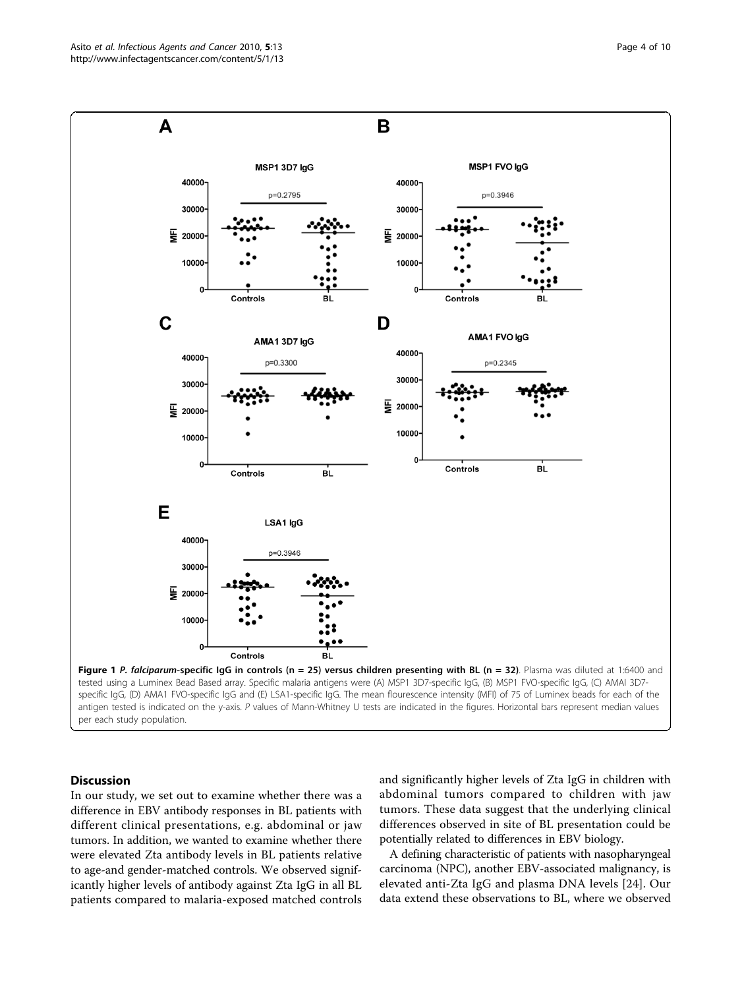<span id="page-3-0"></span>

Discussion

In our study, we set out to examine whether there was a difference in EBV antibody responses in BL patients with different clinical presentations, e.g. abdominal or jaw tumors. In addition, we wanted to examine whether there were elevated Zta antibody levels in BL patients relative to age-and gender-matched controls. We observed significantly higher levels of antibody against Zta IgG in all BL patients compared to malaria-exposed matched controls and significantly higher levels of Zta IgG in children with abdominal tumors compared to children with jaw tumors. These data suggest that the underlying clinical differences observed in site of BL presentation could be potentially related to differences in EBV biology.

A defining characteristic of patients with nasopharyngeal carcinoma (NPC), another EBV-associated malignancy, is elevated anti-Zta IgG and plasma DNA levels [[24](#page-8-0)]. Our data extend these observations to BL, where we observed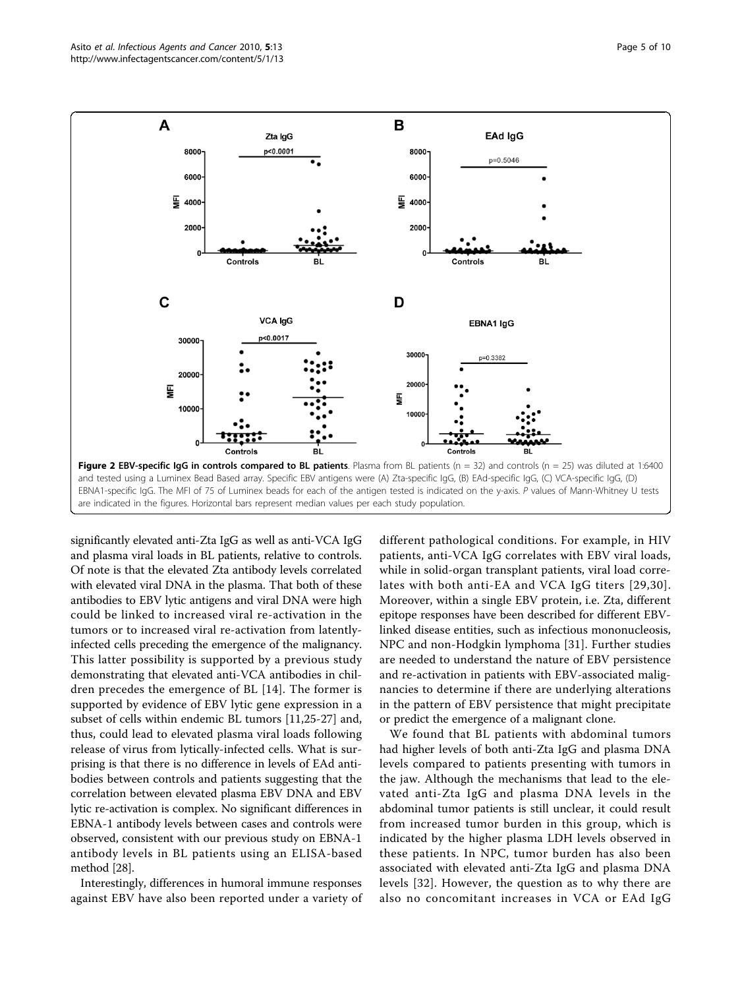<span id="page-4-0"></span>

significantly elevated anti-Zta IgG as well as anti-VCA IgG and plasma viral loads in BL patients, relative to controls. Of note is that the elevated Zta antibody levels correlated with elevated viral DNA in the plasma. That both of these antibodies to EBV lytic antigens and viral DNA were high could be linked to increased viral re-activation in the tumors or to increased viral re-activation from latentlyinfected cells preceding the emergence of the malignancy. This latter possibility is supported by a previous study demonstrating that elevated anti-VCA antibodies in children precedes the emergence of BL [\[14\]](#page-8-0). The former is supported by evidence of EBV lytic gene expression in a subset of cells within endemic BL tumors [\[11,25-27](#page-8-0)] and, thus, could lead to elevated plasma viral loads following release of virus from lytically-infected cells. What is surprising is that there is no difference in levels of EAd antibodies between controls and patients suggesting that the correlation between elevated plasma EBV DNA and EBV lytic re-activation is complex. No significant differences in EBNA-1 antibody levels between cases and controls were observed, consistent with our previous study on EBNA-1 antibody levels in BL patients using an ELISA-based method [\[28\]](#page-9-0).

Interestingly, differences in humoral immune responses against EBV have also been reported under a variety of

different pathological conditions. For example, in HIV patients, anti-VCA IgG correlates with EBV viral loads, while in solid-organ transplant patients, viral load correlates with both anti-EA and VCA IgG titers [[29](#page-9-0),[30\]](#page-9-0). Moreover, within a single EBV protein, i.e. Zta, different epitope responses have been described for different EBVlinked disease entities, such as infectious mononucleosis, NPC and non-Hodgkin lymphoma [\[31](#page-9-0)]. Further studies are needed to understand the nature of EBV persistence and re-activation in patients with EBV-associated malignancies to determine if there are underlying alterations in the pattern of EBV persistence that might precipitate or predict the emergence of a malignant clone.

We found that BL patients with abdominal tumors had higher levels of both anti-Zta IgG and plasma DNA levels compared to patients presenting with tumors in the jaw. Although the mechanisms that lead to the elevated anti-Zta IgG and plasma DNA levels in the abdominal tumor patients is still unclear, it could result from increased tumor burden in this group, which is indicated by the higher plasma LDH levels observed in these patients. In NPC, tumor burden has also been associated with elevated anti-Zta IgG and plasma DNA levels [[32](#page-9-0)]. However, the question as to why there are also no concomitant increases in VCA or EAd IgG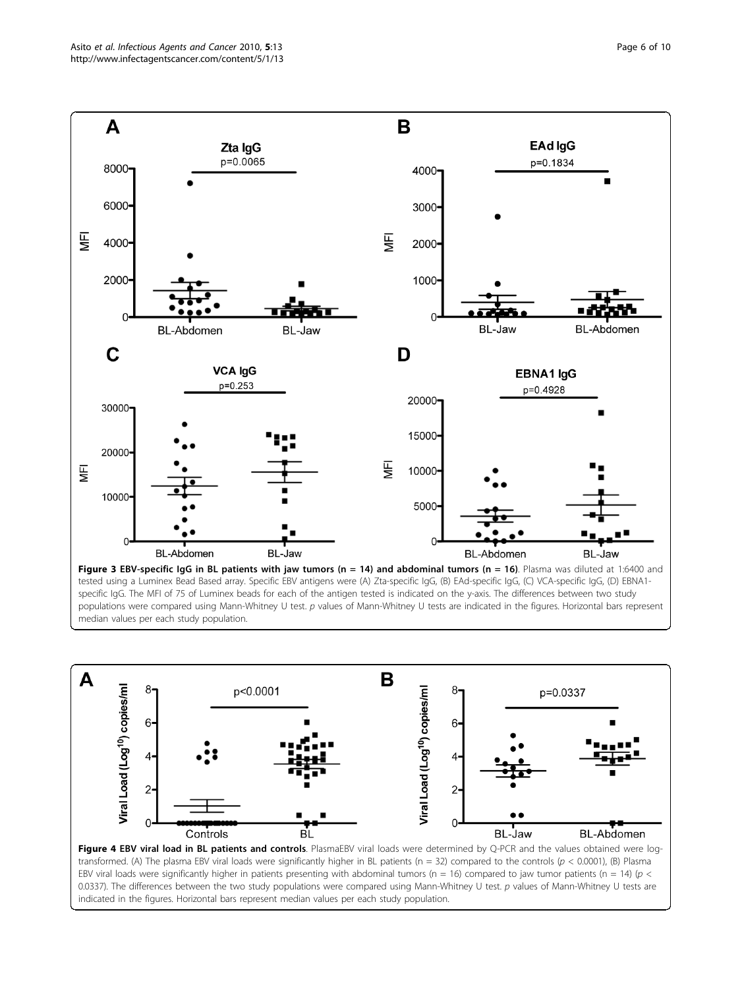<span id="page-5-0"></span>

Figure 3 EBV-specific IgG in BL patients with jaw tumors (n = 14) and abdominal tumors (n = 16). Plasma was diluted at 1:6400 and tested using a Luminex Bead Based array. Specific EBV antigens were (A) Zta-specific IgG, (B) EAd-specific IgG, (C) VCA-specific IgG, (D) EBNA1 specific IgG. The MFI of 75 of Luminex beads for each of the antigen tested is indicated on the y-axis. The differences between two study populations were compared using Mann-Whitney U test. p values of Mann-Whitney U tests are indicated in the figures. Horizontal bars represent median values per each study population.



Figure 4 EBV viral load in BL patients and controls. PlasmaEBV viral loads were determined by Q-PCR and the values obtained were logtransformed. (A) The plasma EBV viral loads were significantly higher in BL patients (n = 32) compared to the controls ( $p < 0.0001$ ), (B) Plasma EBV viral loads were significantly higher in patients presenting with abdominal tumors (n = 16) compared to jaw tumor patients (n = 14) ( $p <$ 0.0337). The differences between the two study populations were compared using Mann-Whitney U test. p values of Mann-Whitney U tests are indicated in the figures. Horizontal bars represent median values per each study population.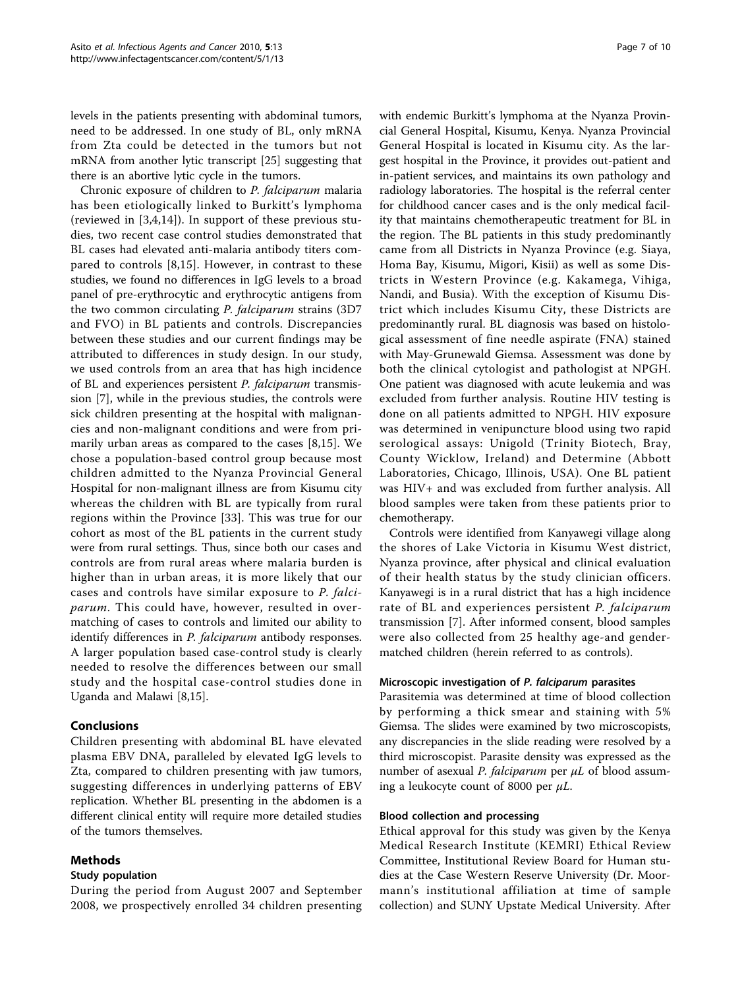levels in the patients presenting with abdominal tumors, need to be addressed. In one study of BL, only mRNA from Zta could be detected in the tumors but not mRNA from another lytic transcript [[25](#page-8-0)] suggesting that there is an abortive lytic cycle in the tumors.

Chronic exposure of children to P. falciparum malaria has been etiologically linked to Burkitt's lymphoma (reviewed in [[3,4,14](#page-8-0)]). In support of these previous studies, two recent case control studies demonstrated that BL cases had elevated anti-malaria antibody titers compared to controls [\[8](#page-8-0),[15\]](#page-8-0). However, in contrast to these studies, we found no differences in IgG levels to a broad panel of pre-erythrocytic and erythrocytic antigens from the two common circulating P. falciparum strains (3D7 and FVO) in BL patients and controls. Discrepancies between these studies and our current findings may be attributed to differences in study design. In our study, we used controls from an area that has high incidence of BL and experiences persistent P. falciparum transmission [\[7](#page-8-0)], while in the previous studies, the controls were sick children presenting at the hospital with malignancies and non-malignant conditions and were from primarily urban areas as compared to the cases [\[8,15](#page-8-0)]. We chose a population-based control group because most children admitted to the Nyanza Provincial General Hospital for non-malignant illness are from Kisumu city whereas the children with BL are typically from rural regions within the Province [\[33](#page-9-0)]. This was true for our cohort as most of the BL patients in the current study were from rural settings. Thus, since both our cases and controls are from rural areas where malaria burden is higher than in urban areas, it is more likely that our cases and controls have similar exposure to P. falciparum. This could have, however, resulted in overmatching of cases to controls and limited our ability to identify differences in *P. falciparum* antibody responses. A larger population based case-control study is clearly needed to resolve the differences between our small study and the hospital case-control studies done in Uganda and Malawi [\[8,15](#page-8-0)].

## Conclusions

Children presenting with abdominal BL have elevated plasma EBV DNA, paralleled by elevated IgG levels to Zta, compared to children presenting with jaw tumors, suggesting differences in underlying patterns of EBV replication. Whether BL presenting in the abdomen is a different clinical entity will require more detailed studies of the tumors themselves.

## Methods

## Study population

During the period from August 2007 and September 2008, we prospectively enrolled 34 children presenting with endemic Burkitt's lymphoma at the Nyanza Provincial General Hospital, Kisumu, Kenya. Nyanza Provincial General Hospital is located in Kisumu city. As the largest hospital in the Province, it provides out-patient and in-patient services, and maintains its own pathology and radiology laboratories. The hospital is the referral center for childhood cancer cases and is the only medical facility that maintains chemotherapeutic treatment for BL in the region. The BL patients in this study predominantly came from all Districts in Nyanza Province (e.g. Siaya, Homa Bay, Kisumu, Migori, Kisii) as well as some Districts in Western Province (e.g. Kakamega, Vihiga, Nandi, and Busia). With the exception of Kisumu District which includes Kisumu City, these Districts are predominantly rural. BL diagnosis was based on histological assessment of fine needle aspirate (FNA) stained with May-Grunewald Giemsa. Assessment was done by both the clinical cytologist and pathologist at NPGH. One patient was diagnosed with acute leukemia and was excluded from further analysis. Routine HIV testing is done on all patients admitted to NPGH. HIV exposure was determined in venipuncture blood using two rapid serological assays: Unigold (Trinity Biotech, Bray, County Wicklow, Ireland) and Determine (Abbott Laboratories, Chicago, Illinois, USA). One BL patient was HIV+ and was excluded from further analysis. All blood samples were taken from these patients prior to chemotherapy.

Controls were identified from Kanyawegi village along the shores of Lake Victoria in Kisumu West district, Nyanza province, after physical and clinical evaluation of their health status by the study clinician officers. Kanyawegi is in a rural district that has a high incidence rate of BL and experiences persistent P. falciparum transmission [\[7](#page-8-0)]. After informed consent, blood samples were also collected from 25 healthy age-and gendermatched children (herein referred to as controls).

## Microscopic investigation of P. falciparum parasites

Parasitemia was determined at time of blood collection by performing a thick smear and staining with 5% Giemsa. The slides were examined by two microscopists, any discrepancies in the slide reading were resolved by a third microscopist. Parasite density was expressed as the number of asexual *P. falciparum* per  $\mu$ *L* of blood assuming a leukocyte count of 8000 per  $\mu L$ .

#### Blood collection and processing

Ethical approval for this study was given by the Kenya Medical Research Institute (KEMRI) Ethical Review Committee, Institutional Review Board for Human studies at the Case Western Reserve University (Dr. Moormann's institutional affiliation at time of sample collection) and SUNY Upstate Medical University. After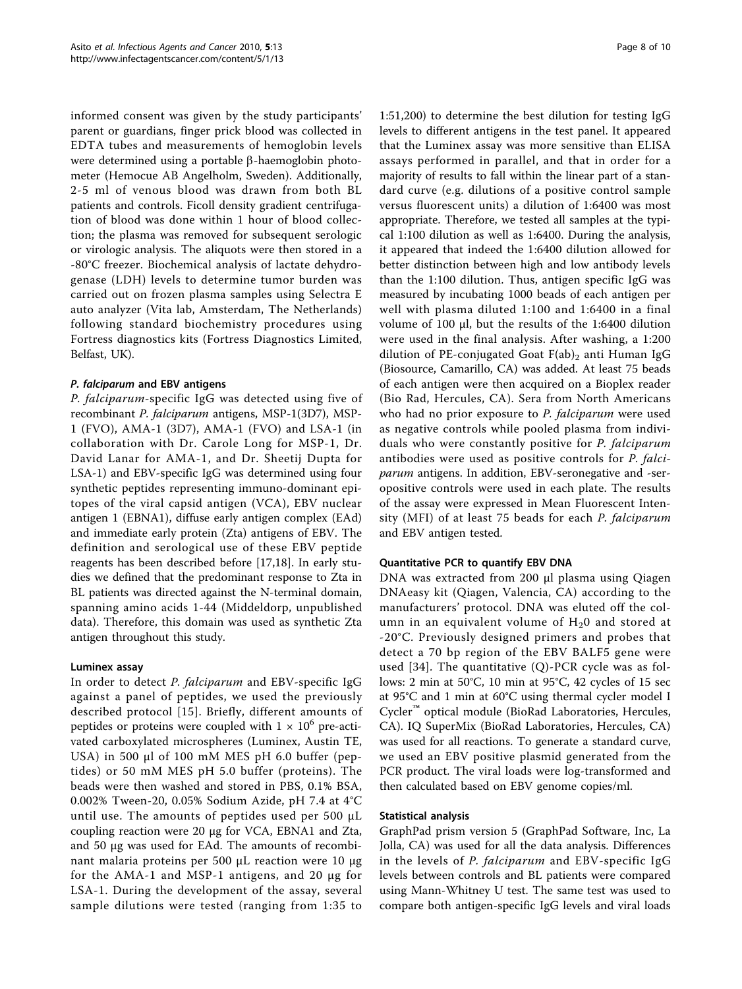informed consent was given by the study participants' parent or guardians, finger prick blood was collected in EDTA tubes and measurements of hemoglobin levels were determined using a portable  $\beta$ -haemoglobin photometer (Hemocue AB Angelholm, Sweden). Additionally, 2-5 ml of venous blood was drawn from both BL patients and controls. Ficoll density gradient centrifugation of blood was done within 1 hour of blood collection; the plasma was removed for subsequent serologic or virologic analysis. The aliquots were then stored in a -80°C freezer. Biochemical analysis of lactate dehydrogenase (LDH) levels to determine tumor burden was carried out on frozen plasma samples using Selectra E auto analyzer (Vita lab, Amsterdam, The Netherlands) following standard biochemistry procedures using Fortress diagnostics kits (Fortress Diagnostics Limited, Belfast, UK).

## P. falciparum and EBV antigens

P. falciparum-specific IgG was detected using five of recombinant P. falciparum antigens, MSP-1(3D7), MSP-1 (FVO), AMA-1 (3D7), AMA-1 (FVO) and LSA-1 (in collaboration with Dr. Carole Long for MSP-1, Dr. David Lanar for AMA-1, and Dr. Sheetij Dupta for LSA-1) and EBV-specific IgG was determined using four synthetic peptides representing immuno-dominant epitopes of the viral capsid antigen (VCA), EBV nuclear antigen 1 (EBNA1), diffuse early antigen complex (EAd) and immediate early protein (Zta) antigens of EBV. The definition and serological use of these EBV peptide reagents has been described before [[17,18\]](#page-8-0). In early studies we defined that the predominant response to Zta in BL patients was directed against the N-terminal domain, spanning amino acids 1-44 (Middeldorp, unpublished data). Therefore, this domain was used as synthetic Zta antigen throughout this study.

## Luminex assay

In order to detect P. falciparum and EBV-specific IgG against a panel of peptides, we used the previously described protocol [[15](#page-8-0)]. Briefly, different amounts of peptides or proteins were coupled with  $1 \times 10^6$  pre-activated carboxylated microspheres (Luminex, Austin TE, USA) in 500 μl of 100 mM MES pH 6.0 buffer (peptides) or 50 mM MES pH 5.0 buffer (proteins). The beads were then washed and stored in PBS, 0.1% BSA, 0.002% Tween-20, 0.05% Sodium Azide, pH 7.4 at 4°C until use. The amounts of peptides used per 500 μL coupling reaction were 20 μg for VCA, EBNA1 and Zta, and 50 μg was used for EAd. The amounts of recombinant malaria proteins per 500 μL reaction were 10 μg for the AMA-1 and MSP-1 antigens, and 20 μg for LSA-1. During the development of the assay, several sample dilutions were tested (ranging from 1:35 to

1:51,200) to determine the best dilution for testing IgG levels to different antigens in the test panel. It appeared that the Luminex assay was more sensitive than ELISA assays performed in parallel, and that in order for a majority of results to fall within the linear part of a standard curve (e.g. dilutions of a positive control sample versus fluorescent units) a dilution of 1:6400 was most appropriate. Therefore, we tested all samples at the typical 1:100 dilution as well as 1:6400. During the analysis, it appeared that indeed the 1:6400 dilution allowed for better distinction between high and low antibody levels than the 1:100 dilution. Thus, antigen specific IgG was measured by incubating 1000 beads of each antigen per well with plasma diluted 1:100 and 1:6400 in a final volume of 100 μl, but the results of the 1:6400 dilution were used in the final analysis. After washing, a 1:200 dilution of PE-conjugated Goat  $F(ab)_2$  anti Human IgG (Biosource, Camarillo, CA) was added. At least 75 beads of each antigen were then acquired on a Bioplex reader (Bio Rad, Hercules, CA). Sera from North Americans who had no prior exposure to P. falciparum were used as negative controls while pooled plasma from individuals who were constantly positive for P. falciparum antibodies were used as positive controls for P. falciparum antigens. In addition, EBV-seronegative and -seropositive controls were used in each plate. The results of the assay were expressed in Mean Fluorescent Intensity (MFI) of at least 75 beads for each P. falciparum and EBV antigen tested.

## Quantitative PCR to quantify EBV DNA

DNA was extracted from 200 μl plasma using Qiagen DNAeasy kit (Qiagen, Valencia, CA) according to the manufacturers' protocol. DNA was eluted off the column in an equivalent volume of  $H_2$ 0 and stored at -20°C. Previously designed primers and probes that detect a 70 bp region of the EBV BALF5 gene were used  $[34]$ . The quantitative  $(Q)$ -PCR cycle was as follows: 2 min at 50°C, 10 min at 95°C, 42 cycles of 15 sec at 95°C and 1 min at 60°C using thermal cycler model I Cycler™ optical module (BioRad Laboratories, Hercules, CA). IQ SuperMix (BioRad Laboratories, Hercules, CA) was used for all reactions. To generate a standard curve, we used an EBV positive plasmid generated from the PCR product. The viral loads were log-transformed and then calculated based on EBV genome copies/ml.

## Statistical analysis

GraphPad prism version 5 (GraphPad Software, Inc, La Jolla, CA) was used for all the data analysis. Differences in the levels of P. falciparum and EBV-specific IgG levels between controls and BL patients were compared using Mann-Whitney U test. The same test was used to compare both antigen-specific IgG levels and viral loads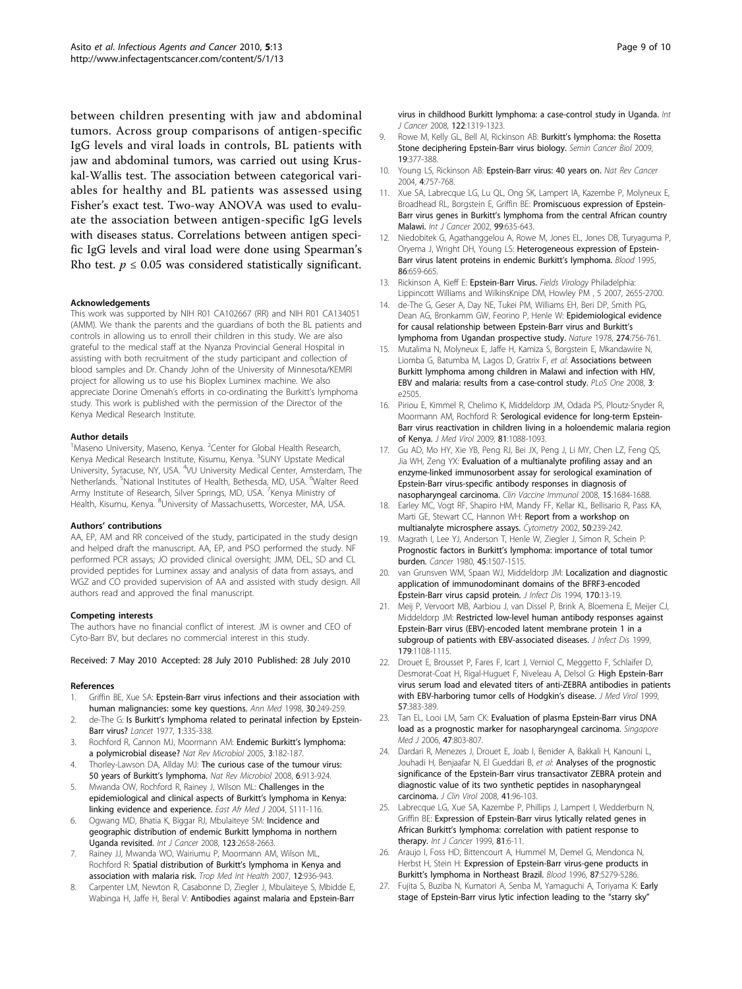<span id="page-8-0"></span>between children presenting with jaw and abdominal tumors. Across group comparisons of antigen-specific IgG levels and viral loads in controls, BL patients with jaw and abdominal tumors, was carried out using Kruskal-Wallis test. The association between categorical variables for healthy and BL patients was assessed using Fisher's exact test. Two-way ANOVA was used to evaluate the association between antigen-specific IgG levels with diseases status. Correlations between antigen specific IgG levels and viral load were done using Spearman's Rho test.  $p \le 0.05$  was considered statistically significant.

#### Acknowledgements

This work was supported by NIH R01 CA102667 (RR) and NIH R01 CA134051 (AMM). We thank the parents and the guardians of both the BL patients and controls in allowing us to enroll their children in this study. We are also grateful to the medical staff at the Nyanza Provincial General Hospital in assisting with both recruitment of the study participant and collection of blood samples and Dr. Chandy John of the University of Minnesota/KEMRI project for allowing us to use his Bioplex Luminex machine. We also appreciate Dorine Omenah's efforts in co-ordinating the Burkitt's lymphoma study. This work is published with the permission of the Director of the Kenya Medical Research Institute.

#### Author details

<sup>1</sup>Maseno University, Maseno, Kenya. <sup>2</sup>Center for Global Health Research, Kenya Medical Research Institute, Kisumu, Kenya. <sup>3</sup>SUNY Upstate Medical University, Syracuse, NY, USA. <sup>4</sup>VU University Medical Center, Amsterdam, The Netherlands. <sup>5</sup>National Institutes of Health, Bethesda, MD, USA. <sup>6</sup>Walter Reed Army Institute of Research, Silver Springs, MD, USA. <sup>7</sup>Kenya Ministry of Health, Kisumu, Kenya. <sup>8</sup>University of Massachusetts, Worcester, MA, USA.

#### Authors' contributions

AA, EP, AM and RR conceived of the study, participated in the study design and helped draft the manuscript. AA, EP, and PSO performed the study. NF performed PCR assays; JO provided clinical oversight; JMM, DEL, SD and CL provided peptides for Luminex assay and analysis of data from assays, and WGZ and CO provided supervision of AA and assisted with study design. All authors read and approved the final manuscript.

#### Competing interests

The authors have no financial conflict of interest. JM is owner and CEO of Cyto-Barr BV, but declares no commercial interest in this study.

#### Received: 7 May 2010 Accepted: 28 July 2010 Published: 28 July 2010

#### References

- Griffin BE, Xue SA: [Epstein-Barr virus infections and their association with](http://www.ncbi.nlm.nih.gov/pubmed/9677010?dopt=Abstract) [human malignancies: some key questions.](http://www.ncbi.nlm.nih.gov/pubmed/9677010?dopt=Abstract) Ann Med 1998, 30:249-259.
- 2. de-The G: Is Burkitt'[s lymphoma related to perinatal infection by Epstein-](http://www.ncbi.nlm.nih.gov/pubmed/64861?dopt=Abstract)[Barr virus?](http://www.ncbi.nlm.nih.gov/pubmed/64861?dopt=Abstract) Lancet 1977, 1:335-338.
- 3. Rochford R, Cannon MJ, Moormann AM: [Endemic Burkitt](http://www.ncbi.nlm.nih.gov/pubmed/15685227?dopt=Abstract)'s lymphoma: [a polymicrobial disease?](http://www.ncbi.nlm.nih.gov/pubmed/15685227?dopt=Abstract) Nat Rev Microbiol 2005, 3:182-187.
- 4. Thorley-Lawson DA, Allday MJ: [The curious case of the tumour virus:](http://www.ncbi.nlm.nih.gov/pubmed/19008891?dopt=Abstract) [50 years of Burkitt](http://www.ncbi.nlm.nih.gov/pubmed/19008891?dopt=Abstract)'s lymphoma. Nat Rev Microbiol 2008, 6:913-924.
- 5. Mwanda OW, Rochford R, Rainey J, Wilson ML: [Challenges in the](http://www.ncbi.nlm.nih.gov/pubmed/15622609?dopt=Abstract) [epidemiological and clinical aspects of Burkitt](http://www.ncbi.nlm.nih.gov/pubmed/15622609?dopt=Abstract)'s lymphoma in Kenya: [linking evidence and experience.](http://www.ncbi.nlm.nih.gov/pubmed/15622609?dopt=Abstract) East Afr Med J 2004, S111-116.
- 6. Ogwang MD, Bhatia K, Biggar RJ, Mbulaiteye SM: [Incidence and](http://www.ncbi.nlm.nih.gov/pubmed/18767045?dopt=Abstract) [geographic distribution of endemic Burkitt lymphoma in northern](http://www.ncbi.nlm.nih.gov/pubmed/18767045?dopt=Abstract) [Uganda revisited.](http://www.ncbi.nlm.nih.gov/pubmed/18767045?dopt=Abstract) Int J Cancer 2008, 123:2658-2663.
- 7. Rainey JJ, Mwanda WO, Wairiumu P, Moormann AM, Wilson ML, Rochford R: [Spatial distribution of Burkitt](http://www.ncbi.nlm.nih.gov/pubmed/17697088?dopt=Abstract)'s lymphoma in Kenya and [association with malaria risk.](http://www.ncbi.nlm.nih.gov/pubmed/17697088?dopt=Abstract) Trop Med Int Health 2007, 12:936-943.
- 8. Carpenter LM, Newton R, Casabonne D, Ziegler J, Mbulaiteye S, Mbidde E, Wabinga H, Jaffe H, Beral V: [Antibodies against malaria and Epstein-Barr](http://www.ncbi.nlm.nih.gov/pubmed/18000823?dopt=Abstract)

[virus in childhood Burkitt lymphoma: a case-control study in Uganda.](http://www.ncbi.nlm.nih.gov/pubmed/18000823?dopt=Abstract) Int J Cancer 2008, 122:1319-1323.

- 9. Rowe M, Kelly GL, Bell AI, Rickinson AB: Burkitt'[s lymphoma: the Rosetta](http://www.ncbi.nlm.nih.gov/pubmed/19619657?dopt=Abstract) [Stone deciphering Epstein-Barr virus biology.](http://www.ncbi.nlm.nih.gov/pubmed/19619657?dopt=Abstract) Semin Cancer Biol 2009, 19:377-388.
- 10. Young LS, Rickinson AB: [Epstein-Barr virus: 40 years on.](http://www.ncbi.nlm.nih.gov/pubmed/15510157?dopt=Abstract) Nat Rev Cancer 2004, 4:757-768.
- 11. Xue SA, Labrecque LG, Lu QL, Ong SK, Lampert IA, Kazembe P, Molyneux E, Broadhead RL, Borgstein E, Griffin BE: [Promiscuous expression of Epstein-](http://www.ncbi.nlm.nih.gov/pubmed/12115495?dopt=Abstract)Barr virus genes in Burkitt'[s lymphoma from the central African country](http://www.ncbi.nlm.nih.gov/pubmed/12115495?dopt=Abstract) [Malawi.](http://www.ncbi.nlm.nih.gov/pubmed/12115495?dopt=Abstract) Int J Cancer 2002, 99:635-643.
- 12. Niedobitek G, Agathanggelou A, Rowe M, Jones EL, Jones DB, Turyaguma P, Oryema J, Wright DH, Young LS: [Heterogeneous expression of Epstein-](http://www.ncbi.nlm.nih.gov/pubmed/7605996?dopt=Abstract)[Barr virus latent proteins in endemic Burkitt](http://www.ncbi.nlm.nih.gov/pubmed/7605996?dopt=Abstract)'s lymphoma. Blood 1995, 86:659-665.
- 13. Rickinson A, Kieff E: Epstein-Barr Virus. Fields Virology Philadelphia: Lippincott Williams and WilkinsKnipe DM, Howley PM , 5 2007, 2655-2700.
- 14. de-The G, Geser A, Day NE, Tukei PM, Williams EH, Beri DP, Smith PG, Dean AG, Bronkamm GW, Feorino P, Henle W: [Epidemiological evidence](http://www.ncbi.nlm.nih.gov/pubmed/210392?dopt=Abstract) [for causal relationship between Epstein-Barr virus and Burkitt](http://www.ncbi.nlm.nih.gov/pubmed/210392?dopt=Abstract)'s [lymphoma from Ugandan prospective study.](http://www.ncbi.nlm.nih.gov/pubmed/210392?dopt=Abstract) Nature 1978, 274:756-761.
- 15. Mutalima N, Molyneux E, Jaffe H, Kamiza S, Borgstein E, Mkandawire N, Liomba G, Batumba M, Lagos D, Gratrix F, et al. [Associations between](http://www.ncbi.nlm.nih.gov/pubmed/18560562?dopt=Abstract) [Burkitt lymphoma among children in Malawi and infection with HIV,](http://www.ncbi.nlm.nih.gov/pubmed/18560562?dopt=Abstract) [EBV and malaria: results from a case-control study.](http://www.ncbi.nlm.nih.gov/pubmed/18560562?dopt=Abstract) PLoS One 2008, 3: e2505.
- 16. Piriou E, Kimmel R, Chelimo K, Middeldorp JM, Odada PS, Ploutz-Snyder R, Moormann AM, Rochford R: [Serological evidence for long-term Epstein-](http://www.ncbi.nlm.nih.gov/pubmed/19382256?dopt=Abstract)[Barr virus reactivation in children living in a holoendemic malaria region](http://www.ncbi.nlm.nih.gov/pubmed/19382256?dopt=Abstract) [of Kenya.](http://www.ncbi.nlm.nih.gov/pubmed/19382256?dopt=Abstract) J Med Virol 2009, 81:1088-1093.
- 17. Gu AD, Mo HY, Xie YB, Peng RJ, Bei JX, Peng J, Li MY, Chen LZ, Feng QS, Jia WH, Zeng YX: [Evaluation of a multianalyte profiling assay and an](http://www.ncbi.nlm.nih.gov/pubmed/18768669?dopt=Abstract) [enzyme-linked immunosorbent assay for serological examination of](http://www.ncbi.nlm.nih.gov/pubmed/18768669?dopt=Abstract) [Epstein-Barr virus-specific antibody responses in diagnosis of](http://www.ncbi.nlm.nih.gov/pubmed/18768669?dopt=Abstract) [nasopharyngeal carcinoma.](http://www.ncbi.nlm.nih.gov/pubmed/18768669?dopt=Abstract) Clin Vaccine Immunol 2008, 15:1684-1688.
- 18. Earley MC, Vogt RF, Shapiro HM, Mandy FF, Kellar KL, Bellisario R, Pass KA, Marti GE, Stewart CC, Hannon WH: [Report from a workshop on](http://www.ncbi.nlm.nih.gov/pubmed/12360572?dopt=Abstract) [multianalyte microsphere assays.](http://www.ncbi.nlm.nih.gov/pubmed/12360572?dopt=Abstract) Cytometry 2002, 50:239-242.
- 19. Magrath I, Lee YJ, Anderson T, Henle W, Ziegler J, Simon R, Schein P: Prognostic factors in Burkitt'[s lymphoma: importance of total tumor](http://www.ncbi.nlm.nih.gov/pubmed/6244085?dopt=Abstract) [burden.](http://www.ncbi.nlm.nih.gov/pubmed/6244085?dopt=Abstract) Cancer 1980, 45:1507-1515.
- 20. van Grunsven WM, Spaan WJ, Middeldorp JM: [Localization and diagnostic](http://www.ncbi.nlm.nih.gov/pubmed/8014488?dopt=Abstract) [application of immunodominant domains of the BFRF3-encoded](http://www.ncbi.nlm.nih.gov/pubmed/8014488?dopt=Abstract) [Epstein-Barr virus capsid protein.](http://www.ncbi.nlm.nih.gov/pubmed/8014488?dopt=Abstract) J Infect Dis 1994, 170:13-19.
- 21. Meij P, Vervoort MB, Aarbiou J, van Dissel P, Brink A, Bloemena E, Meijer CJ, Middeldorp JM: [Restricted low-level human antibody responses against](http://www.ncbi.nlm.nih.gov/pubmed/10191211?dopt=Abstract) [Epstein-Barr virus \(EBV\)-encoded latent membrane protein 1 in a](http://www.ncbi.nlm.nih.gov/pubmed/10191211?dopt=Abstract) [subgroup of patients with EBV-associated diseases.](http://www.ncbi.nlm.nih.gov/pubmed/10191211?dopt=Abstract) J Infect Dis 1999, 179:1108-1115.
- 22. Drouet E, Brousset P, Fares F, Icart J, Verniol C, Meggetto F, Schlaifer D, Desmorat-Coat H, Rigal-Huguet F, Niveleau A, Delsol G: [High Epstein-Barr](http://www.ncbi.nlm.nih.gov/pubmed/10089051?dopt=Abstract) [virus serum load and elevated titers of anti-ZEBRA antibodies in patients](http://www.ncbi.nlm.nih.gov/pubmed/10089051?dopt=Abstract) [with EBV-harboring tumor cells of Hodgkin](http://www.ncbi.nlm.nih.gov/pubmed/10089051?dopt=Abstract)'s disease. J Med Virol 1999, 57:383-389.
- 23. Tan EL, Looi LM, Sam CK: [Evaluation of plasma Epstein-Barr virus DNA](http://www.ncbi.nlm.nih.gov/pubmed/16924363?dopt=Abstract) [load as a prognostic marker for nasopharyngeal carcinoma.](http://www.ncbi.nlm.nih.gov/pubmed/16924363?dopt=Abstract) Singapore Med 12006, 47:803-807.
- 24. Dardari R, Menezes J, Drouet E, Joab I, Benider A, Bakkali H, Kanouni L, Jouhadi H, Benjaafar N, El Gueddari B, et al: [Analyses of the prognostic](http://www.ncbi.nlm.nih.gov/pubmed/18024156?dopt=Abstract) [significance of the Epstein-Barr virus transactivator ZEBRA protein and](http://www.ncbi.nlm.nih.gov/pubmed/18024156?dopt=Abstract) [diagnostic value of its two synthetic peptides in nasopharyngeal](http://www.ncbi.nlm.nih.gov/pubmed/18024156?dopt=Abstract) [carcinoma.](http://www.ncbi.nlm.nih.gov/pubmed/18024156?dopt=Abstract) J Clin Virol 2008, 41:96-103.
- 25. Labrecque LG, Xue SA, Kazembe P, Phillips J, Lampert I, Wedderburn N, Griffin BE: [Expression of Epstein-Barr virus lytically related genes in](http://www.ncbi.nlm.nih.gov/pubmed/10077144?dopt=Abstract) African Burkitt'[s lymphoma: correlation with patient response to](http://www.ncbi.nlm.nih.gov/pubmed/10077144?dopt=Abstract) [therapy.](http://www.ncbi.nlm.nih.gov/pubmed/10077144?dopt=Abstract) Int J Cancer 1999, 81:6-11.
- 26. Araujo I, Foss HD, Bittencourt A, Hummel M, Demel G, Mendonca N, Herbst H, Stein H: [Expression of Epstein-Barr virus-gene products in](http://www.ncbi.nlm.nih.gov/pubmed/8652843?dopt=Abstract) Burkitt'[s lymphoma in Northeast Brazil.](http://www.ncbi.nlm.nih.gov/pubmed/8652843?dopt=Abstract) Blood 1996, 87:5279-5286.
- 27. Fujita S, Buziba N, Kumatori A, Senba M, Yamaguchi A, Toriyama K: [Early](http://www.ncbi.nlm.nih.gov/pubmed/15086279?dopt=Abstract) [stage of Epstein-Barr virus lytic infection leading to the](http://www.ncbi.nlm.nih.gov/pubmed/15086279?dopt=Abstract) "starry sky"